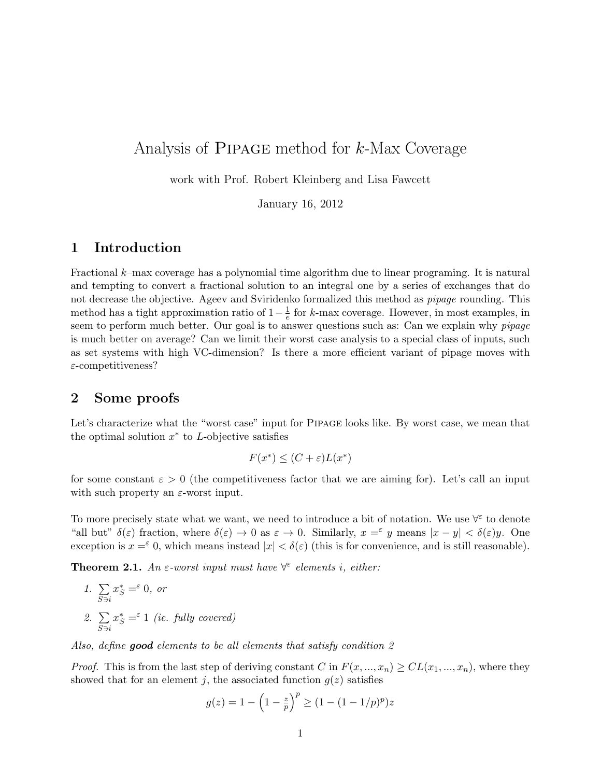# Analysis of Pipage method for k-Max Coverage

work with Prof. Robert Kleinberg and Lisa Fawcett

January 16, 2012

# 1 Introduction

Fractional k–max coverage has a polynomial time algorithm due to linear programing. It is natural and tempting to convert a fractional solution to an integral one by a series of exchanges that do not decrease the objective. Ageev and Sviridenko formalized this method as *pipage* rounding. This method has a tight approximation ratio of  $1-\frac{1}{e}$  $\frac{1}{e}$  for k-max coverage. However, in most examples, in seem to perform much better. Our goal is to answer questions such as: Can we explain why *pipage* is much better on average? Can we limit their worst case analysis to a special class of inputs, such as set systems with high VC-dimension? Is there a more efficient variant of pipage moves with  $\varepsilon$ -competitiveness?

## 2 Some proofs

Let's characterize what the "worst case" input for Pipage looks like. By worst case, we mean that the optimal solution  $x^*$  to L-objective satisfies

$$
F(x^*) \le (C + \varepsilon)L(x^*)
$$

for some constant  $\varepsilon > 0$  (the competitiveness factor that we are aiming for). Let's call an input with such property an  $\varepsilon$ -worst input.

To more precisely state what we want, we need to introduce a bit of notation. We use  $\forall^{\epsilon}$  to denote "all but"  $\delta(\varepsilon)$  fraction, where  $\delta(\varepsilon) \to 0$  as  $\varepsilon \to 0$ . Similarly,  $x = \varepsilon$  y means  $|x - y| < \delta(\varepsilon)y$ . One exception is  $x = \epsilon$  0, which means instead  $|x| < \delta(\epsilon)$  (this is for convenience, and is still reasonable).

**Theorem 2.1.** An  $\varepsilon$ -worst input must have  $\forall^{\varepsilon}$  elements i, either:

1. 
$$
\sum_{S \ni i} x_S^* = \infty 0, \text{ or}
$$
  
2. 
$$
\sum_{S \ni i} x_S^* = \infty 1 \text{ (i.e. fully covered)}
$$

Also, define good elements to be all elements that satisfy condition 2

*Proof.* This is from the last step of deriving constant C in  $F(x, ..., x_n) \ge CL(x_1, ..., x_n)$ , where they showed that for an element j, the associated function  $g(z)$  satisfies

$$
g(z) = 1 - \left(1 - \frac{z}{p}\right)^p \ge (1 - (1 - 1/p)^p)z
$$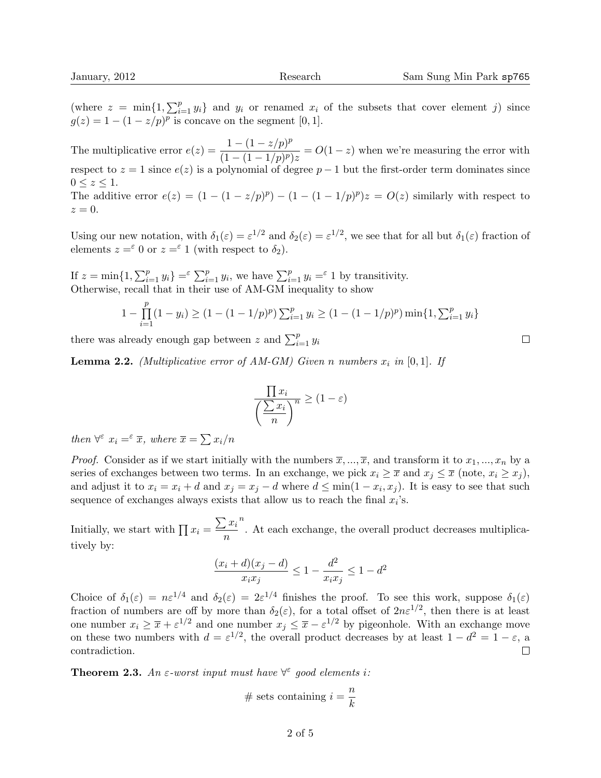(where  $z = \min\{1, \sum_{i=1}^p y_i\}$  and  $y_i$  or renamed  $x_i$  of the subsets that cover element j) since  $g(z) = 1 - (1 - z/p)^p$  is concave on the segment [0, 1].

The multiplicative error  $e(z) = \frac{1 - (1 - z/p)^p}{(1 - (1 - z/p))^p}$  $\frac{1}{(1-(1-1/p)^p)z} = O(1-z)$  when we're measuring the error with respect to  $z = 1$  since  $e(z)$  is a polynomial of degree  $p - 1$  but the first-order term dominates since  $0 \leq z \leq 1$ . The additive error  $e(z) = (1 - (1 - z/p)^p) - (1 - (1 - 1/p)^p)z = O(z)$  similarly with respect to  $z=0.$ 

Using our new notation, with  $\delta_1(\varepsilon) = \varepsilon^{1/2}$  and  $\delta_2(\varepsilon) = \varepsilon^{1/2}$ , we see that for all but  $\delta_1(\varepsilon)$  fraction of elements  $z = \epsilon$  0 or  $z = \epsilon$  1 (with respect to  $\delta_2$ ).

If  $z = \min\{1, \sum_{i=1}^p y_i\} = \sum_{i=1}^p y_i$ , we have  $\sum_{i=1}^p y_i = \infty$  1 by transitivity. Otherwise, recall that in their use of AM-GM inequality to show

$$
1 - \prod_{i=1}^{p} (1 - y_i) \ge (1 - (1 - 1/p)^p) \sum_{i=1}^{p} y_i \ge (1 - (1 - 1/p)^p) \min\{1, \sum_{i=1}^{p} y_i\}
$$

there was already enough gap between z and  $\sum_{i=1}^{p} y_i$ 

**Lemma 2.2.** (Multiplicative error of AM-GM) Given n numbers  $x_i$  in [0, 1]. If

$$
\frac{\prod x_i}{\left(\frac{\sum x_i}{n}\right)^n} \ge (1 - \varepsilon)
$$

then  $\forall^{\varepsilon} x_i = \varepsilon \overline{x}$ , where  $\overline{x} = \sum x_i/n$ 

*Proof.* Consider as if we start initially with the numbers  $\overline{x}, ..., \overline{x}$ , and transform it to  $x_1, ..., x_n$  by a series of exchanges between two terms. In an exchange, we pick  $x_i \geq \overline{x}$  and  $x_j \leq \overline{x}$  (note,  $x_i \geq x_j$ ), and adjust it to  $x_i = x_i + d$  and  $x_j = x_j - d$  where  $d \le \min(1 - x_i, x_j)$ . It is easy to see that such sequence of exchanges always exists that allow us to reach the final  $x_i$ 's.

Initially, we start with  $\prod x_i = \frac{\sum x_i}{\sum x_i}$ n n . At each exchange, the overall product decreases multiplicatively by:

$$
\frac{(x_i + d)(x_j - d)}{x_i x_j} \le 1 - \frac{d^2}{x_i x_j} \le 1 - d^2
$$

Choice of  $\delta_1(\varepsilon) = n\varepsilon^{1/4}$  and  $\delta_2(\varepsilon) = 2\varepsilon^{1/4}$  finishes the proof. To see this work, suppose  $\delta_1(\varepsilon)$ fraction of numbers are off by more than  $\delta_2(\varepsilon)$ , for a total offset of  $2n\varepsilon^{1/2}$ , then there is at least one number  $x_i \geq \overline{x} + \varepsilon^{1/2}$  and one number  $x_j \leq \overline{x} - \varepsilon^{1/2}$  by pigeonhole. With an exchange move on these two numbers with  $d = \varepsilon^{1/2}$ , the overall product decreases by at least  $1 - d^2 = 1 - \varepsilon$ , a contradiction.  $\Box$ 

**Theorem 2.3.** An  $\varepsilon$ -worst input must have  $\forall^{\varepsilon}$  good elements i:

# sets containing 
$$
i = \frac{n}{k}
$$

 $\Box$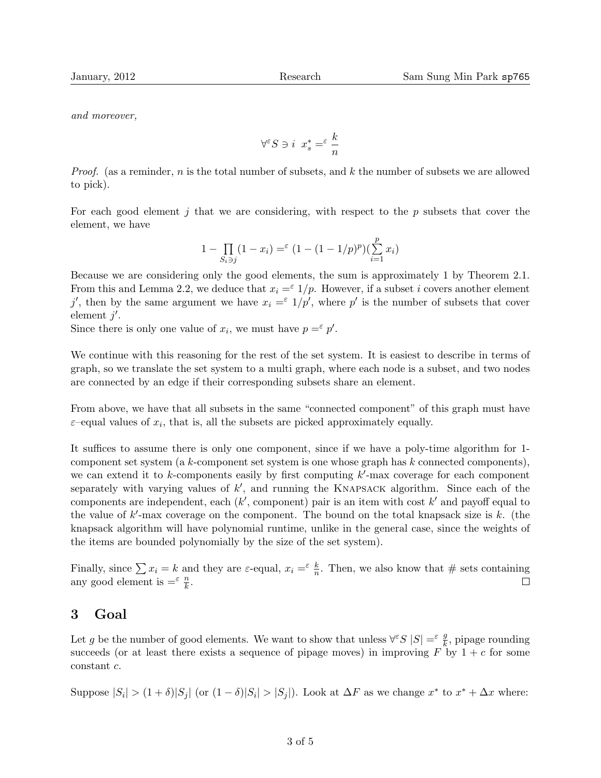and moreover,

$$
\forall^{\varepsilon}S\ni i\ x_{s}^{*}=\varepsilon\ \frac{k}{n}
$$

*Proof.* (as a reminder, n is the total number of subsets, and k the number of subsets we are allowed to pick).

For each good element  $j$  that we are considering, with respect to the  $p$  subsets that cover the element, we have

$$
1 - \prod_{S_i \ni j} (1 - x_i) =^{\varepsilon} (1 - (1 - 1/p)^p) (\sum_{i=1}^p x_i)
$$

Because we are considering only the good elements, the sum is approximately 1 by Theorem 2.1. From this and Lemma 2.2, we deduce that  $x_i = \epsilon 1/p$ . However, if a subset i covers another element j', then by the same argument we have  $x_i = \epsilon 1/p'$ , where p' is the number of subsets that cover element  $j'$ .

Since there is only one value of  $x_i$ , we must have  $p = \epsilon p'$ .

We continue with this reasoning for the rest of the set system. It is easiest to describe in terms of graph, so we translate the set system to a multi graph, where each node is a subset, and two nodes are connected by an edge if their corresponding subsets share an element.

From above, we have that all subsets in the same "connected component" of this graph must have  $\varepsilon$ -equal values of  $x_i$ , that is, all the subsets are picked approximately equally.

It suffices to assume there is only one component, since if we have a poly-time algorithm for 1 component set system (a k-component set system is one whose graph has k connected components), we can extend it to  $k$ -components easily by first computing  $k'$ -max coverage for each component separately with varying values of  $k'$ , and running the KNAPSACK algorithm. Since each of the components are independent, each  $(k'$ , component) pair is an item with cost  $k'$  and payoff equal to the value of  $k'$ -max coverage on the component. The bound on the total knapsack size is  $k$ . (the knapsack algorithm will have polynomial runtime, unlike in the general case, since the weights of the items are bounded polynomially by the size of the set system).

Finally, since  $\sum x_i = k$  and they are  $\varepsilon$ -equal,  $x_i = \frac{\varepsilon}{n}$ . Then, we also know that # sets containing any good element is  $=^{\varepsilon} \frac{n}{k}$ .  $\Box$ 

### 3 Goal

Let g be the number of good elements. We want to show that unless  $\forall^{\varepsilon}S |S| = \varepsilon \frac{g}{k}$ , pipage rounding succeeds (or at least there exists a sequence of pipage moves) in improving  $F$  by  $1+c$  for some constant c.

Suppose  $|S_i| > (1 + \delta)|S_j|$  (or  $(1 - \delta)|S_i| > |S_j|$ ). Look at  $\Delta F$  as we change  $x^*$  to  $x^* + \Delta x$  where: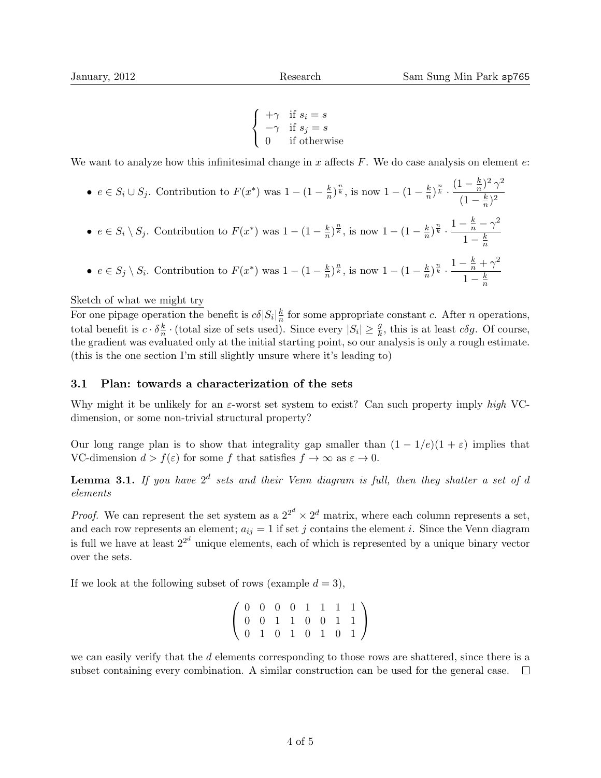$$
\begin{cases}\n+\gamma & \text{if } s_i = s \\
-\gamma & \text{if } s_j = s \\
0 & \text{if otherwise}\n\end{cases}
$$

We want to analyze how this infinitesimal change in x affects  $F$ . We do case analysis on element  $e$ .

•  $e \in S_i \cup S_j$ . Contribution to  $F(x^*)$  was  $1 - (1 - \frac{k}{n})$  $(\frac{k}{n})^{\frac{n}{k}}$ , is now  $1 - (1 - \frac{k}{n})$  $(\frac{k}{n})^{\frac{n}{k}} \cdot \frac{(1-\frac{k}{n})^{\frac{n}{k}}}{(1-\frac{k}{n})^{\frac{n}{k}}}$  $(\frac{k}{n})^2$   $\gamma^2$  $(1-\frac{k}{n})$  $(\frac{k}{n})^2$ •  $e \in S_i \setminus S_j$ . Contribution to  $F(x^*)$  was  $1 - (1 - \frac{k}{n})$  $(\frac{k}{n})^{\frac{n}{k}}$ , is now  $1 - (1 - \frac{k}{n})$  $(\frac{k}{n})^{\frac{n}{k}}\cdot\frac{1-\frac{k}{n}-\gamma^2}{1-k}$  $1-\frac{k}{n}$ n •  $e \in S_j \setminus S_i$ . Contribution to  $F(x^*)$  was  $1 - (1 - \frac{k}{n})$  $(\frac{k}{n})^{\frac{n}{k}}$ , is now  $1 - (1 - \frac{k}{n})$  $(\frac{k}{n})^{\frac{n}{k}} \cdot \frac{1-\frac{k}{n}+\gamma^2}{1-k}$  $1-\frac{k}{n}$  $\overline{n}$ 

#### Sketch of what we might try

For one pipage operation the benefit is  $c\delta|S_i| \frac{k}{n}$  $\frac{k}{n}$  for some appropriate constant c. After *n* operations, total benefit is  $c \cdot \delta \frac{k}{n}$  $\frac{k}{n} \cdot$  (total size of sets used). Since every  $|S_i| \geq \frac{g}{k}$ , this is at least  $c\delta g$ . Of course, the gradient was evaluated only at the initial starting point, so our analysis is only a rough estimate. (this is the one section I'm still slightly unsure where it's leading to)

#### 3.1 Plan: towards a characterization of the sets

Why might it be unlikely for an  $\varepsilon$ -worst set system to exist? Can such property imply high VCdimension, or some non-trivial structural property?

Our long range plan is to show that integrality gap smaller than  $(1 - 1/e)(1 + \varepsilon)$  implies that VC-dimension  $d > f(\varepsilon)$  for some f that satisfies  $f \to \infty$  as  $\varepsilon \to 0$ .

**Lemma 3.1.** If you have  $2^d$  sets and their Venn diagram is full, then they shatter a set of d elements

*Proof.* We can represent the set system as a  $2^{2^d} \times 2^d$  matrix, where each column represents a set, and each row represents an element;  $a_{ij} = 1$  if set j contains the element i. Since the Venn diagram is full we have at least  $2^{2^d}$  unique elements, each of which is represented by a unique binary vector over the sets.

If we look at the following subset of rows (example  $d = 3$ ),

$$
\left(\begin{array}{cccccc} 0 & 0 & 0 & 0 & 1 & 1 & 1 & 1 \\ 0 & 0 & 1 & 1 & 0 & 0 & 1 & 1 \\ 0 & 1 & 0 & 1 & 0 & 1 & 0 & 1 \end{array}\right)
$$

we can easily verify that the d elements corresponding to those rows are shattered, since there is a subset containing every combination. A similar construction can be used for the general case.  $\Box$